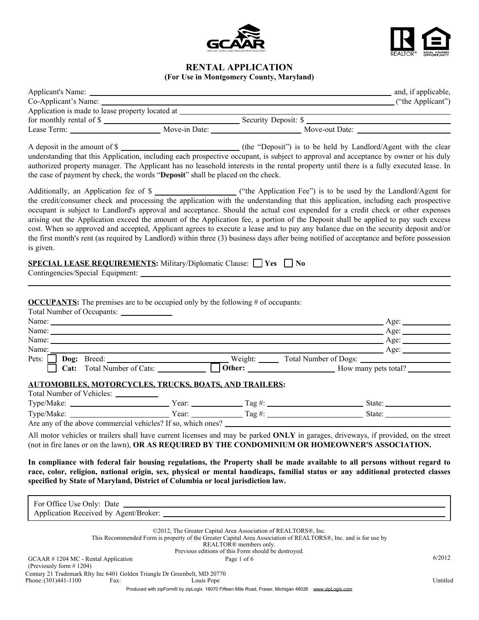



# **RENTAL APPLICATION**

**(For Use in Montgomery County, Maryland)**

| Co-Applicant's Name:                                                                                                             |                                                     |                                                                                          | ("the Applicant")                                                                                                                                                                                                                                                                                                                                                                                                                                                                                                                                                                                                                                                                            |  |
|----------------------------------------------------------------------------------------------------------------------------------|-----------------------------------------------------|------------------------------------------------------------------------------------------|----------------------------------------------------------------------------------------------------------------------------------------------------------------------------------------------------------------------------------------------------------------------------------------------------------------------------------------------------------------------------------------------------------------------------------------------------------------------------------------------------------------------------------------------------------------------------------------------------------------------------------------------------------------------------------------------|--|
| Application is made to lease property located at                                                                                 |                                                     |                                                                                          |                                                                                                                                                                                                                                                                                                                                                                                                                                                                                                                                                                                                                                                                                              |  |
|                                                                                                                                  |                                                     |                                                                                          | For monthly rental of \$                                                                                                                                                                                                                                                                                                                                                                                                                                                                                                                                                                                                                                                                     |  |
|                                                                                                                                  |                                                     |                                                                                          |                                                                                                                                                                                                                                                                                                                                                                                                                                                                                                                                                                                                                                                                                              |  |
| the case of payment by check, the words "Deposit" shall be placed on the check.                                                  |                                                     |                                                                                          | A deposit in the amount of \$<br>understanding that this Application, including each prospective occupant, is subject to approval and acceptance by owner or his duly<br>authorized property manager. The Applicant has no leasehold interests in the rental property until there is a fully executed lease. In                                                                                                                                                                                                                                                                                                                                                                              |  |
| is given.                                                                                                                        |                                                     |                                                                                          | the credit/consumer check and processing the application with the understanding that this application, including each prospective<br>occupant is subject to Landlord's approval and acceptance. Should the actual cost expended for a credit check or other expenses<br>arising out the Application exceed the amount of the Application fee, a portion of the Deposit shall be applied to pay such excess<br>cost. When so approved and accepted, Applicant agrees to execute a lease and to pay any balance due on the security deposit and/or<br>the first month's rent (as required by Landlord) within three (3) business days after being notified of acceptance and before possession |  |
| <b>SPECIAL LEASE REQUIREMENTS:</b> Military/Diplomatic Clause: $\Box$ Yes $\Box$ No                                              |                                                     |                                                                                          |                                                                                                                                                                                                                                                                                                                                                                                                                                                                                                                                                                                                                                                                                              |  |
| <b>OCCUPANTS:</b> The premises are to be occupied only by the following $#$ of occupants:<br>Total Number of Occupants:<br>Name: | <u> 1980 - Johann Barbara, martxa alemaniar arg</u> |                                                                                          | Age: $\qquad \qquad$<br>$\qquad \qquad \text{Age:}$                                                                                                                                                                                                                                                                                                                                                                                                                                                                                                                                                                                                                                          |  |
|                                                                                                                                  |                                                     |                                                                                          | Pets: Dog: Breed: Uses Records and Sumber of Cats: Uses Records Assumed Bogs: Cat: Total Number of Cats: Uses Records Assumed Bother: Uses Records Assumed Bother: USES Records Assumed Bother: USES Records Assumed Bother: U                                                                                                                                                                                                                                                                                                                                                                                                                                                               |  |
| AUTOMOBILES, MOTORCYCLES, TRUCKS, BOATS, AND TRAILERS:<br>Total Number of Vehicles: ____________                                 |                                                     |                                                                                          | All motor vehicles or trailers shall have current licenses and may be parked ONLY in garages, driveways, if provided, on the street                                                                                                                                                                                                                                                                                                                                                                                                                                                                                                                                                          |  |
|                                                                                                                                  |                                                     |                                                                                          | (not in fire lanes or on the lawn), OR AS REQUIRED BY THE CONDOMINIUM OR HOMEOWNER'S ASSOCIATION.<br>In compliance with federal fair housing regulations, the Property shall be made available to all persons without regard to<br>race, color, religion, national origin, sex, physical or mental handicaps, familial status or any additional protected classes                                                                                                                                                                                                                                                                                                                            |  |
| specified by State of Maryland, District of Columbia or local jurisdiction law.                                                  |                                                     |                                                                                          |                                                                                                                                                                                                                                                                                                                                                                                                                                                                                                                                                                                                                                                                                              |  |
|                                                                                                                                  |                                                     |                                                                                          |                                                                                                                                                                                                                                                                                                                                                                                                                                                                                                                                                                                                                                                                                              |  |
|                                                                                                                                  |                                                     |                                                                                          |                                                                                                                                                                                                                                                                                                                                                                                                                                                                                                                                                                                                                                                                                              |  |
|                                                                                                                                  |                                                     | ©2012, The Greater Capital Area Association of REALTORS®, Inc.<br>REALTOR® members only. | This Recommended Form is property of the Greater Capital Area Association of REALTORS®, Inc. and is for use by                                                                                                                                                                                                                                                                                                                                                                                                                                                                                                                                                                               |  |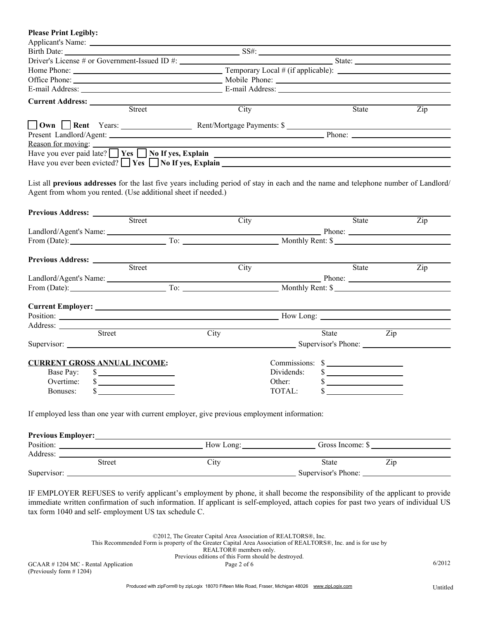| <b>Please Print Legibly:</b>        |                                                                                                                                                                                                                                           |                          |            |                                                                   |                  |
|-------------------------------------|-------------------------------------------------------------------------------------------------------------------------------------------------------------------------------------------------------------------------------------------|--------------------------|------------|-------------------------------------------------------------------|------------------|
|                                     |                                                                                                                                                                                                                                           |                          |            |                                                                   |                  |
|                                     |                                                                                                                                                                                                                                           |                          |            |                                                                   |                  |
|                                     |                                                                                                                                                                                                                                           |                          |            |                                                                   |                  |
|                                     |                                                                                                                                                                                                                                           |                          |            |                                                                   |                  |
|                                     |                                                                                                                                                                                                                                           |                          |            |                                                                   |                  |
|                                     |                                                                                                                                                                                                                                           |                          |            |                                                                   |                  |
|                                     | <b>Current Address:</b> <u>Street Street Street Street Street Street Street Street Street Street Street Street Street Street Street Street Street Street Street Street Street Street Street Street Street Street Street Street Street</u> |                          |            |                                                                   |                  |
|                                     |                                                                                                                                                                                                                                           | City                     |            | State                                                             | $\overline{Zip}$ |
|                                     |                                                                                                                                                                                                                                           |                          |            |                                                                   |                  |
|                                     |                                                                                                                                                                                                                                           |                          |            |                                                                   |                  |
| Reason for moving:                  |                                                                                                                                                                                                                                           |                          |            |                                                                   |                  |
|                                     | Have you ever paid late? $\Box$ <b>Yes</b> $\Box$ <b>No If yes, Explain</b> $\Box$                                                                                                                                                        |                          |            |                                                                   |                  |
|                                     | Have you ever been evicted? $\Box$ Yes $\Box$ No If yes, Explain                                                                                                                                                                          |                          |            |                                                                   |                  |
|                                     |                                                                                                                                                                                                                                           |                          |            |                                                                   |                  |
|                                     | List all previous addresses for the last five years including period of stay in each and the name and telephone number of Landlord/                                                                                                       |                          |            |                                                                   |                  |
|                                     | Agent from whom you rented. (Use additional sheet if needed.)                                                                                                                                                                             |                          |            |                                                                   |                  |
|                                     |                                                                                                                                                                                                                                           |                          |            |                                                                   |                  |
| Previous Address: <u>Street</u>     |                                                                                                                                                                                                                                           |                          |            |                                                                   |                  |
|                                     |                                                                                                                                                                                                                                           | City                     |            | State                                                             | Zip              |
|                                     |                                                                                                                                                                                                                                           |                          |            |                                                                   |                  |
|                                     | From (Date): To: To: Monthly Rent: \$                                                                                                                                                                                                     |                          |            |                                                                   |                  |
|                                     |                                                                                                                                                                                                                                           |                          |            |                                                                   |                  |
|                                     |                                                                                                                                                                                                                                           |                          |            |                                                                   |                  |
|                                     | Previous Address: <u>Street</u>                                                                                                                                                                                                           | City                     |            | State                                                             | Zip              |
|                                     |                                                                                                                                                                                                                                           |                          |            |                                                                   |                  |
|                                     |                                                                                                                                                                                                                                           |                          |            |                                                                   |                  |
|                                     |                                                                                                                                                                                                                                           |                          |            |                                                                   |                  |
|                                     |                                                                                                                                                                                                                                           |                          |            |                                                                   |                  |
|                                     | Position: Now Long: Now Long: Now Long: Now Long: Now Long: Now Long: Now Long: Now Long: Now Long: Now Long: Now Long: Now Long: Now Long: Now Long: Now Long: Now Long: Now Long: Now Long: Now Long: Now Long: Now Long: No            |                          |            |                                                                   |                  |
| Address: <u>Street</u>              | the control of the control of the control of the control of the control of                                                                                                                                                                |                          |            |                                                                   |                  |
|                                     |                                                                                                                                                                                                                                           | City                     |            | State                                                             | Zip              |
|                                     |                                                                                                                                                                                                                                           |                          |            |                                                                   |                  |
|                                     |                                                                                                                                                                                                                                           |                          |            |                                                                   |                  |
| <b>CURRENT GROSS ANNUAL INCOME:</b> |                                                                                                                                                                                                                                           |                          |            | $Commission: \$                                                   |                  |
| Base Pay:                           | $\sim$                                                                                                                                                                                                                                    |                          | Dividends: | $\sim$                                                            |                  |
| Overtime:<br>\$                     | the control of the control of the control of                                                                                                                                                                                              |                          | Other:     | \$<br><u>and the state of the state of the state of the state</u> |                  |
| \$<br>Bonuses:                      |                                                                                                                                                                                                                                           |                          | TOTAL:     | \$                                                                |                  |
|                                     |                                                                                                                                                                                                                                           |                          |            |                                                                   |                  |
|                                     | If employed less than one year with current employer, give previous employment information:                                                                                                                                               |                          |            |                                                                   |                  |
|                                     |                                                                                                                                                                                                                                           |                          |            |                                                                   |                  |
|                                     |                                                                                                                                                                                                                                           |                          |            |                                                                   |                  |
|                                     | Position: Now Long: Now Long: Gross Income: \$                                                                                                                                                                                            |                          |            |                                                                   |                  |
| Address: <u>Street</u>              |                                                                                                                                                                                                                                           |                          |            |                                                                   |                  |
|                                     |                                                                                                                                                                                                                                           | $\overline{\text{City}}$ |            | State<br>$\overline{Zip}$                                         |                  |
|                                     |                                                                                                                                                                                                                                           |                          |            |                                                                   |                  |
|                                     |                                                                                                                                                                                                                                           |                          |            |                                                                   |                  |

IF EMPLOYER REFUSES to verify applicant's employment by phone, it shall become the responsibility of the applicant to provide immediate written confirmation of such information. If applicant is self-employed, attach copies for past two years of individual US tax form 1040 and self- employment US tax schedule C.

> ©2012, The Greater Capital Area Association of REALTORS®, Inc. This Recommended Form is property of the Greater Capital Area Association of REALTORS®, Inc. and is for use by REALTOR® members only. Previous editions of this Form should be destroyed.

 $GCAAR \neq 1204$  MC - Rental Application Page 2 of 6 6/2012 (Previously form # 1204)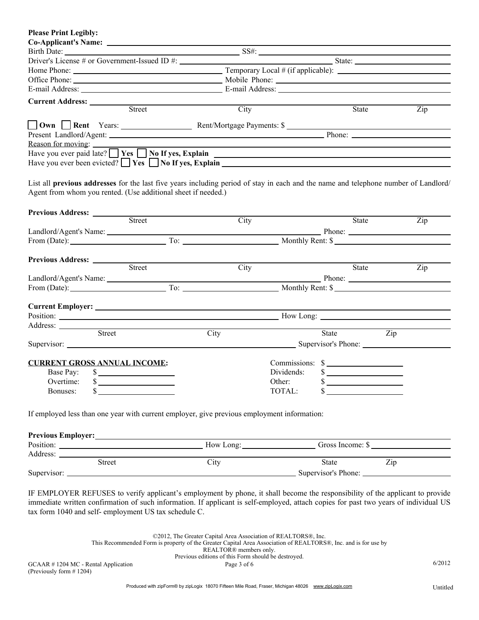| <b>Please Print Legibly:</b>                                                                                                                                                                                                                     |            |                 |                  |  |
|--------------------------------------------------------------------------------------------------------------------------------------------------------------------------------------------------------------------------------------------------|------------|-----------------|------------------|--|
|                                                                                                                                                                                                                                                  |            |                 |                  |  |
|                                                                                                                                                                                                                                                  |            |                 |                  |  |
|                                                                                                                                                                                                                                                  |            |                 |                  |  |
|                                                                                                                                                                                                                                                  |            |                 |                  |  |
|                                                                                                                                                                                                                                                  |            |                 |                  |  |
|                                                                                                                                                                                                                                                  |            |                 |                  |  |
|                                                                                                                                                                                                                                                  |            |                 |                  |  |
| Street                                                                                                                                                                                                                                           | City       | State           | Zip              |  |
|                                                                                                                                                                                                                                                  |            |                 |                  |  |
|                                                                                                                                                                                                                                                  |            |                 |                  |  |
|                                                                                                                                                                                                                                                  |            |                 |                  |  |
| Reason for moving:                                                                                                                                                                                                                               |            |                 |                  |  |
| Have you ever paid late? $\Box$ <b>Yes</b> $\Box$ <b>No</b> If yes, Explain                                                                                                                                                                      |            |                 |                  |  |
| Have you ever been evicted? $\Box$ Yes $\Box$ No If yes, Explain $\Box$                                                                                                                                                                          |            |                 |                  |  |
| List all previous addresses for the last five years including period of stay in each and the name and telephone number of Landlord/<br>Agent from whom you rented. (Use additional sheet if needed.)<br>Previous Address: <u>Street</u>          |            |                 |                  |  |
|                                                                                                                                                                                                                                                  | City       | State           | Zip              |  |
|                                                                                                                                                                                                                                                  |            |                 |                  |  |
|                                                                                                                                                                                                                                                  |            |                 |                  |  |
|                                                                                                                                                                                                                                                  |            |                 |                  |  |
| Previous Address: <u>Street</u><br>$\mathcal{L}^{\mathcal{L}}(\mathcal{L}^{\mathcal{L}})$ and $\mathcal{L}^{\mathcal{L}}(\mathcal{L}^{\mathcal{L}})$ . The contract of the set of $\mathcal{L}^{\mathcal{L}}$                                    |            |                 |                  |  |
|                                                                                                                                                                                                                                                  | City       | State           | Zip              |  |
|                                                                                                                                                                                                                                                  |            |                 |                  |  |
| From (Date): To: To: Monthly Rent: \$                                                                                                                                                                                                            |            |                 |                  |  |
|                                                                                                                                                                                                                                                  |            |                 |                  |  |
|                                                                                                                                                                                                                                                  |            |                 |                  |  |
| Position: New Long: New Long: New Long: New Long: New Long: New Long: New Long: New Long: New Long: New Long: New Long: New Long: New Long: New Long: New Long: New Long: New Long: New Long: New Long: New Long: New Long: Ne                   |            |                 |                  |  |
| Address:<br><u> 1980 - Johann Stoff, deutscher Stoffen und der Stoffen und der Stoffen und der Stoffen und der Stoffen und der Stoffen und der Stoffen und der Stoffen und der Stoffen und der Stoffen und der Stoffen und der Stoffen und d</u> |            |                 |                  |  |
| Street                                                                                                                                                                                                                                           | City       | State           | $\overline{Zip}$ |  |
|                                                                                                                                                                                                                                                  |            |                 |                  |  |
|                                                                                                                                                                                                                                                  |            |                 |                  |  |
| <b>CURRENT GROSS ANNUAL INCOME:</b>                                                                                                                                                                                                              |            | Commissions: \$ |                  |  |
| Base Pay:<br>$\sim$                                                                                                                                                                                                                              | Dividends: | $\sim$          |                  |  |
| Overtime:<br>the control of the control of the control of<br>Φ.                                                                                                                                                                                  | Other:     |                 |                  |  |
| Bonuses:                                                                                                                                                                                                                                         | TOTAL:     |                 |                  |  |
| If employed less than one year with current employer, give previous employment information:                                                                                                                                                      |            |                 |                  |  |
| Position: Now Long: Now Long: Gross Income: \$                                                                                                                                                                                                   |            |                 |                  |  |
|                                                                                                                                                                                                                                                  |            |                 |                  |  |
| Address: <u>Street</u>                                                                                                                                                                                                                           | City       | State           | Zip              |  |
|                                                                                                                                                                                                                                                  |            |                 |                  |  |
|                                                                                                                                                                                                                                                  |            |                 |                  |  |

IF EMPLOYER REFUSES to verify applicant's employment by phone, it shall become the responsibility of the applicant to provide immediate written confirmation of such information. If applicant is self-employed, attach copies for past two years of individual US tax form 1040 and self- employment US tax schedule C.

> ©2012, The Greater Capital Area Association of REALTORS®, Inc. This Recommended Form is property of the Greater Capital Area Association of REALTORS®, Inc. and is for use by REALTOR® members only. Previous editions of this Form should be destroyed.

 $GCAAR \neq 1204$  MC - Rental Application Page 3 of 6 6/2012 (Previously form # 1204)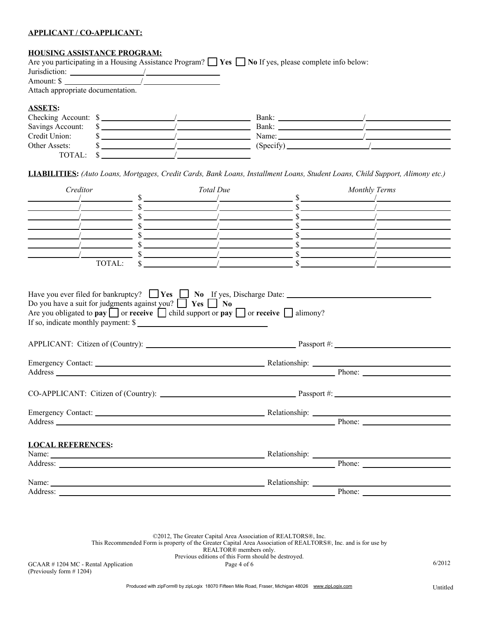### **APPLICANT / CO-APPLICANT:**

## **HOUSING ASSISTANCE PROGRAM:**

|                                   |  | Are you participating in a Housing Assistance Program? $\Box$ Yes $\Box$ No If yes, please complete info below: |  |
|-----------------------------------|--|-----------------------------------------------------------------------------------------------------------------|--|
| Jurisdiction:                     |  |                                                                                                                 |  |
| Amount: \$                        |  |                                                                                                                 |  |
| Attach appropriate documentation. |  |                                                                                                                 |  |
| <b>ASSETS:</b>                    |  |                                                                                                                 |  |
| Checking Account: \$              |  | Bank:                                                                                                           |  |
| Savings Account:                  |  | Bank:                                                                                                           |  |
| Credit Union:                     |  | Name:                                                                                                           |  |
| Other Assets:                     |  | $(Specify)$ <sub>____</sub>                                                                                     |  |
| TOTAL:                            |  |                                                                                                                 |  |

**LIABILITIES:** *(Auto Loans, Mortgages, Credit Cards, Bank Loans, Installment Loans, Student Loans, Child Support, Alimony etc.)*

| $\sim$ \$<br>$\sim$ \$<br>$\sim$ \$<br>$\sim$ \$<br>$\sim$ \$<br>$\frac{1}{2}$ $\frac{1}{2}$ $\frac{1}{2}$ $\frac{1}{2}$ $\frac{1}{2}$ $\frac{1}{2}$ $\frac{1}{2}$ $\frac{1}{2}$ $\frac{1}{2}$ $\frac{1}{2}$ $\frac{1}{2}$ $\frac{1}{2}$ $\frac{1}{2}$ $\frac{1}{2}$ $\frac{1}{2}$ $\frac{1}{2}$ $\frac{1}{2}$ $\frac{1}{2}$ $\frac{1}{2}$ $\frac{1}{2}$ $\frac{1}{2}$ $\frac{1}{2}$<br>$\frac{\sqrt{2}}{2}$<br>TOTAL:<br>Have you ever filed for bankruptcy? $\Box$ <b>Yes</b> $\Box$ <b>No</b> $\underline{If}$ yes, Discharge Date:<br>Do you have a suit for judgments against you? $\Box$ Yes $\Box$ No<br>Are you obligated to pay $\Box$ or receive $\Box$ child support or pay $\Box$ or receive $\Box$ alimony?<br>If so, indicate monthly payment: \$<br>Address Phone: Phone: Phone: Phone: Phone: Phone: Phone: Phone: Phone: Phone: Phone: Phone: Phone: Phone: Phone: Phone: Phone: Phone: Phone: Phone: Phone: Phone: Phone: Phone: Phone: Phone: Phone: Phone: Phone: Phone: Phon<br><b>LOCAL REFERENCES:</b><br>Name: Name: Name: Name: Name: Name: Name: Name: Name: Name: Name: Name: Name: Name: Name: Name: Name: Name: Name: Name: Name: Name: Name: Name: Name: Name: Name: Name: Name: Name: Name: Name: Name: Name: Name: Name: Name:<br>Address: Phone: Phone: Phone: Phone: Phone: Phone: Phone: Phone: Phone: Phone: Phone: Phone: Phone: Phone: Phone: Phone: Phone: Phone: Phone: Phone: Phone: Phone: Phone: Phone: Phone: Phone: Phone: Phone: Phone: Phone: Pho<br>Name: <u>Name:</u> Relationship: Relationship: Relationship: 2004<br><b>Phone:</b> | Creditor                                                                                                                                                                                                                       | Total Due | <b>Monthly Terms</b> |
|----------------------------------------------------------------------------------------------------------------------------------------------------------------------------------------------------------------------------------------------------------------------------------------------------------------------------------------------------------------------------------------------------------------------------------------------------------------------------------------------------------------------------------------------------------------------------------------------------------------------------------------------------------------------------------------------------------------------------------------------------------------------------------------------------------------------------------------------------------------------------------------------------------------------------------------------------------------------------------------------------------------------------------------------------------------------------------------------------------------------------------------------------------------------------------------------------------------------------------------------------------------------------------------------------------------------------------------------------------------------------------------------------------------------------------------------------------------------------------------------------------------------------------------------------------------------------------------|--------------------------------------------------------------------------------------------------------------------------------------------------------------------------------------------------------------------------------|-----------|----------------------|
|                                                                                                                                                                                                                                                                                                                                                                                                                                                                                                                                                                                                                                                                                                                                                                                                                                                                                                                                                                                                                                                                                                                                                                                                                                                                                                                                                                                                                                                                                                                                                                                        |                                                                                                                                                                                                                                |           |                      |
|                                                                                                                                                                                                                                                                                                                                                                                                                                                                                                                                                                                                                                                                                                                                                                                                                                                                                                                                                                                                                                                                                                                                                                                                                                                                                                                                                                                                                                                                                                                                                                                        |                                                                                                                                                                                                                                |           |                      |
|                                                                                                                                                                                                                                                                                                                                                                                                                                                                                                                                                                                                                                                                                                                                                                                                                                                                                                                                                                                                                                                                                                                                                                                                                                                                                                                                                                                                                                                                                                                                                                                        |                                                                                                                                                                                                                                |           |                      |
|                                                                                                                                                                                                                                                                                                                                                                                                                                                                                                                                                                                                                                                                                                                                                                                                                                                                                                                                                                                                                                                                                                                                                                                                                                                                                                                                                                                                                                                                                                                                                                                        |                                                                                                                                                                                                                                |           |                      |
|                                                                                                                                                                                                                                                                                                                                                                                                                                                                                                                                                                                                                                                                                                                                                                                                                                                                                                                                                                                                                                                                                                                                                                                                                                                                                                                                                                                                                                                                                                                                                                                        |                                                                                                                                                                                                                                |           |                      |
|                                                                                                                                                                                                                                                                                                                                                                                                                                                                                                                                                                                                                                                                                                                                                                                                                                                                                                                                                                                                                                                                                                                                                                                                                                                                                                                                                                                                                                                                                                                                                                                        |                                                                                                                                                                                                                                |           |                      |
|                                                                                                                                                                                                                                                                                                                                                                                                                                                                                                                                                                                                                                                                                                                                                                                                                                                                                                                                                                                                                                                                                                                                                                                                                                                                                                                                                                                                                                                                                                                                                                                        |                                                                                                                                                                                                                                |           |                      |
|                                                                                                                                                                                                                                                                                                                                                                                                                                                                                                                                                                                                                                                                                                                                                                                                                                                                                                                                                                                                                                                                                                                                                                                                                                                                                                                                                                                                                                                                                                                                                                                        |                                                                                                                                                                                                                                |           |                      |
|                                                                                                                                                                                                                                                                                                                                                                                                                                                                                                                                                                                                                                                                                                                                                                                                                                                                                                                                                                                                                                                                                                                                                                                                                                                                                                                                                                                                                                                                                                                                                                                        |                                                                                                                                                                                                                                |           |                      |
|                                                                                                                                                                                                                                                                                                                                                                                                                                                                                                                                                                                                                                                                                                                                                                                                                                                                                                                                                                                                                                                                                                                                                                                                                                                                                                                                                                                                                                                                                                                                                                                        |                                                                                                                                                                                                                                |           |                      |
|                                                                                                                                                                                                                                                                                                                                                                                                                                                                                                                                                                                                                                                                                                                                                                                                                                                                                                                                                                                                                                                                                                                                                                                                                                                                                                                                                                                                                                                                                                                                                                                        |                                                                                                                                                                                                                                |           |                      |
|                                                                                                                                                                                                                                                                                                                                                                                                                                                                                                                                                                                                                                                                                                                                                                                                                                                                                                                                                                                                                                                                                                                                                                                                                                                                                                                                                                                                                                                                                                                                                                                        |                                                                                                                                                                                                                                |           |                      |
|                                                                                                                                                                                                                                                                                                                                                                                                                                                                                                                                                                                                                                                                                                                                                                                                                                                                                                                                                                                                                                                                                                                                                                                                                                                                                                                                                                                                                                                                                                                                                                                        |                                                                                                                                                                                                                                |           |                      |
|                                                                                                                                                                                                                                                                                                                                                                                                                                                                                                                                                                                                                                                                                                                                                                                                                                                                                                                                                                                                                                                                                                                                                                                                                                                                                                                                                                                                                                                                                                                                                                                        |                                                                                                                                                                                                                                |           |                      |
|                                                                                                                                                                                                                                                                                                                                                                                                                                                                                                                                                                                                                                                                                                                                                                                                                                                                                                                                                                                                                                                                                                                                                                                                                                                                                                                                                                                                                                                                                                                                                                                        |                                                                                                                                                                                                                                |           |                      |
|                                                                                                                                                                                                                                                                                                                                                                                                                                                                                                                                                                                                                                                                                                                                                                                                                                                                                                                                                                                                                                                                                                                                                                                                                                                                                                                                                                                                                                                                                                                                                                                        |                                                                                                                                                                                                                                |           |                      |
|                                                                                                                                                                                                                                                                                                                                                                                                                                                                                                                                                                                                                                                                                                                                                                                                                                                                                                                                                                                                                                                                                                                                                                                                                                                                                                                                                                                                                                                                                                                                                                                        |                                                                                                                                                                                                                                |           |                      |
|                                                                                                                                                                                                                                                                                                                                                                                                                                                                                                                                                                                                                                                                                                                                                                                                                                                                                                                                                                                                                                                                                                                                                                                                                                                                                                                                                                                                                                                                                                                                                                                        |                                                                                                                                                                                                                                |           |                      |
|                                                                                                                                                                                                                                                                                                                                                                                                                                                                                                                                                                                                                                                                                                                                                                                                                                                                                                                                                                                                                                                                                                                                                                                                                                                                                                                                                                                                                                                                                                                                                                                        |                                                                                                                                                                                                                                |           |                      |
|                                                                                                                                                                                                                                                                                                                                                                                                                                                                                                                                                                                                                                                                                                                                                                                                                                                                                                                                                                                                                                                                                                                                                                                                                                                                                                                                                                                                                                                                                                                                                                                        | Address: No. 1996. The Contract of the Contract of the Contract of the Contract of the Contract of the Contract of the Contract of the Contract of the Contract of the Contract of the Contract of the Contract of the Contrac |           |                      |

©2012, The Greater Capital Area Association of REALTORS®, Inc. This Recommended Form is property of the Greater Capital Area Association of REALTORS®, Inc. and is for use by REALTOR® members only. Previous editions of this Form should be destroyed.

 $GCAAR \neq 1204$  MC - Rental Application  $Page \neq 0f6$  6/2012 (Previously form # 1204)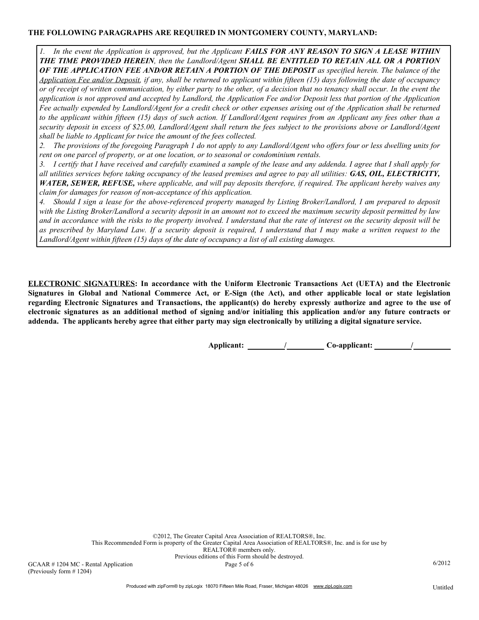## **THE FOLLOWING PARAGRAPHS ARE REQUIRED IN MONTGOMERY COUNTY, MARYLAND:**

In the event the Application is approved, but the Applicant **FAILS FOR ANY REASON TO SIGN A LEASE WITHIN** *THE TIME PROVIDED HEREIN, then the Landlord/Agent SHALL BE ENTITLED TO RETAIN ALL OR A PORTION OF THE APPLICATION FEE AND/OR RETAIN A PORTION OF THE DEPOSIT as specified herein. The balance of the Application Fee and/or Deposit, if any, shall be returned to applicant within fifteen (15) days following the date of occupancy or of receipt of written communication, by either party to the other, of a decision that no tenancy shall occur. In the event the application is not approved and accepted by Landlord, the Application Fee and/or Deposit less that portion of the Application Fee actually expended by Landlord/Agent for a credit check or other expenses arising out of the Application shall be returned to the applicant within fifteen (15) days of such action. If Landlord/Agent requires from an Applicant any fees other than a security deposit in excess of \$25.00, Landlord/Agent shall return the fees subject to the provisions above or Landlord/Agent shall be liable to Applicant for twice the amount of the fees collected.*

*2. The provisions of the foregoing Paragraph 1 do not apply to any Landlord/Agent who offers four or less dwelling units for rent on one parcel of property, or at one location, or to seasonal or condominium rentals.*

*3. I certify that I have received and carefully examined a sample of the lease and any addenda. I agree that I shall apply for all utilities services before taking occupancy of the leased premises and agree to pay all utilities: GAS, OIL, ELECTRICITY, WATER, SEWER, REFUSE, where applicable, and will pay deposits therefore, if required. The applicant hereby waives any claim for damages for reason of non-acceptance of this application.*

*4. Should I sign a lease for the above-referenced property managed by Listing Broker/Landlord, I am prepared to deposit with the Listing Broker/Landlord a security deposit in an amount not to exceed the maximum security deposit permitted by law and in accordance with the risks to the property involved. I understand that the rate of interest on the security deposit will be as prescribed by Maryland Law. If a security deposit is required, I understand that I may make a written request to the Landlord/Agent within fifteen (15) days of the date of occupancy a list of all existing damages.*

**ELECTRONIC SIGNATURES: In accordance with the Uniform Electronic Transactions Act (UETA) and the Electronic Signatures in Global and National Commerce Act, or E-Sign (the Act), and other applicable local or state legislation regarding Electronic Signatures and Transactions, the applicant(s) do hereby expressly authorize and agree to the use of electronic signatures as an additional method of signing and/or initialing this application and/or any future contracts or addenda. The applicants hereby agree that either party may sign electronically by utilizing a digital signature service.**

**Applicant: / Co-applicant: /**

©2012, The Greater Capital Area Association of REALTORS®, Inc. This Recommended Form is property of the Greater Capital Area Association of REALTORS®, Inc. and is for use by REALTOR® members only. Previous editions of this Form should be destroyed. GCAAR # 1204 MC - Rental Application  $Page 5 of 6$  6/2012